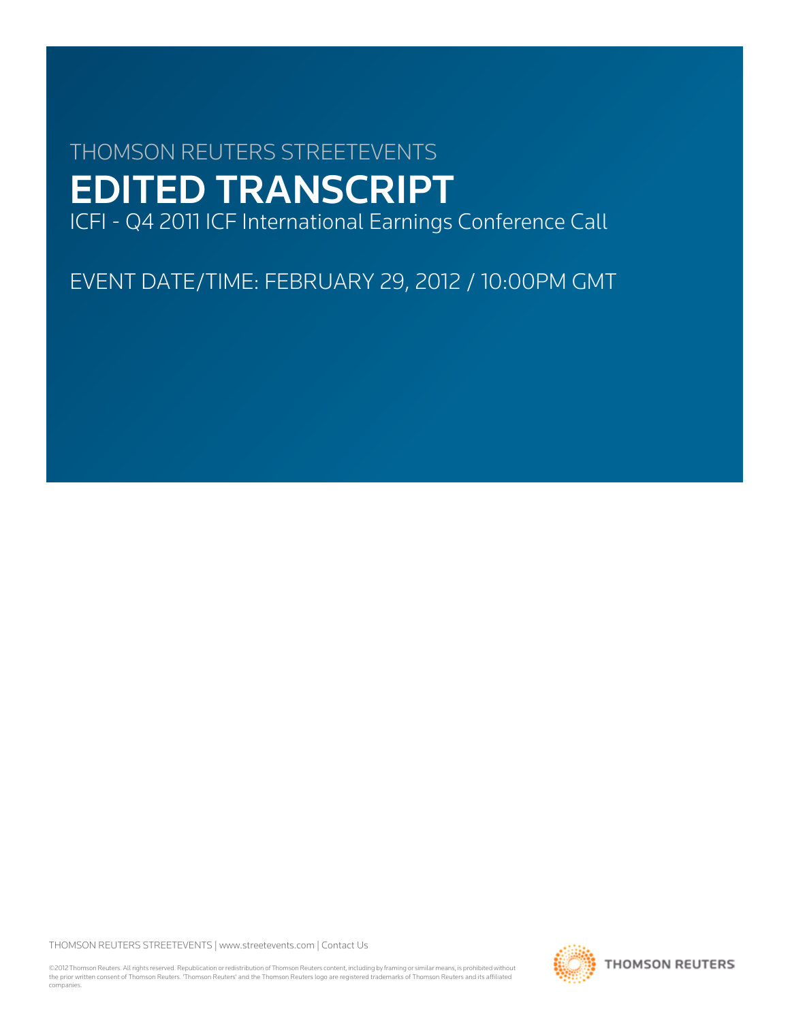# THOMSON REUTERS STREETEVENTS EDITED TRANSCRIPT

ICFI - Q4 2011 ICF International Earnings Conference Call

EVENT DATE/TIME: FEBRUARY 29, 2012 / 10:00PM GMT

THOMSON REUTERS STREETEVENTS | [www.streetevents.com](http://www.streetevents.com) | [Contact Us](http://www010.streetevents.com/contact.asp)

©2012 Thomson Reuters. All rights reserved. Republication or redistribution of Thomson Reuters content, including by framing or similar means, is prohibited without the prior written consent of Thomson Reuters. 'Thomson Reuters' and the Thomson Reuters logo are registered trademarks of Thomson Reuters and its affiliated companies.

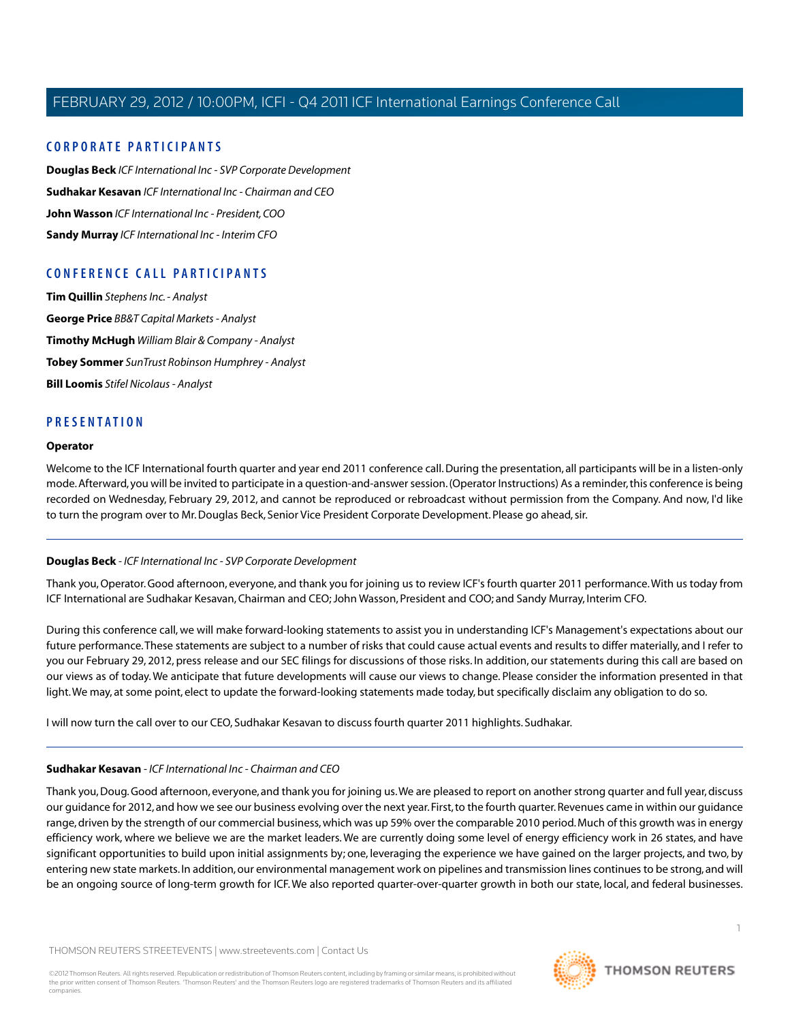## **C ORPORA TE P A R TICIP ANTS**

**[Douglas Beck](#page-1-0)** *ICF International Inc - SVP Corporate Development* **[Sudhakar Kesavan](#page-1-1)** *ICF International Inc - Chairman and CEO* **[John Wasson](#page-2-0)** *ICF International Inc - President, COO* **[Sandy Murray](#page-3-0)** *ICF International Inc - Interim CFO*

## **C ONFERENCE C ALL P A R TICIP ANTS**

**[Tim Quillin](#page-4-0)** *Stephens Inc. - Analyst* **[George Price](#page-5-0)** *BB&T Capital Markets - Analyst* **[Timothy McHugh](#page-7-0)** *William Blair & Company - Analyst* **[Tobey Sommer](#page-8-0)** *SunTrust Robinson Humphrey - Analyst* **[Bill Loomis](#page-9-0)** *Stifel Nicolaus - Analyst*

## **PRESENT A TION**

#### **Operator**

<span id="page-1-0"></span>Welcome to the ICF International fourth quarter and year end 2011 conference call. During the presentation, all participants will be in a listen-only mode. Afterward, you will be invited to participate in a question-and-answer session. (Operator Instructions) As a reminder, this conference is being recorded on Wednesday, February 29, 2012, and cannot be reproduced or rebroadcast without permission from the Company. And now, I'd like to turn the program over to Mr. Douglas Beck, Senior Vice President Corporate Development. Please go ahead, sir.

## **Douglas Beck** *- ICF International Inc - SVP Corporate Development*

Thank you, Operator. Good afternoon, everyone, and thank you for joining us to review ICF's fourth quarter 2011 performance.With us today from ICF International are Sudhakar Kesavan, Chairman and CEO; John Wasson, President and COO; and Sandy Murray, Interim CFO.

During this conference call, we will make forward-looking statements to assist you in understanding ICF's Management's expectations about our future performance.These statements are subject to a number of risks that could cause actual events and results to differ materially, and I refer to you our February 29, 2012, press release and our SEC filings for discussions of those risks. In addition, our statements during this call are based on our views as of today.We anticipate that future developments will cause our views to change. Please consider the information presented in that light.We may, at some point, elect to update the forward-looking statements made today, but specifically disclaim any obligation to do so.

<span id="page-1-1"></span>I will now turn the call over to our CEO, Sudhakar Kesavan to discuss fourth quarter 2011 highlights. Sudhakar.

#### **Sudhakar Kesavan** *- ICF International Inc - Chairman and CEO*

Thank you, Doug. Good afternoon, everyone, and thank you for joining us.We are pleased to report on another strong quarter and full year, discuss our guidance for 2012, and how we see our business evolving over the next year. First, to the fourth quarter. Revenues came in within our guidance range, driven by the strength of our commercial business, which was up 59% over the comparable 2010 period. Much of this growth was in energy efficiency work, where we believe we are the market leaders. We are currently doing some level of energy efficiency work in 26 states, and have significant opportunities to build upon initial assignments by; one, leveraging the experience we have gained on the larger projects, and two, by entering new state markets. In addition, our environmental management work on pipelines and transmission lines continues to be strong, and will be an ongoing source of long-term growth for ICF.We also reported quarter-over-quarter growth in both our state, local, and federal businesses.

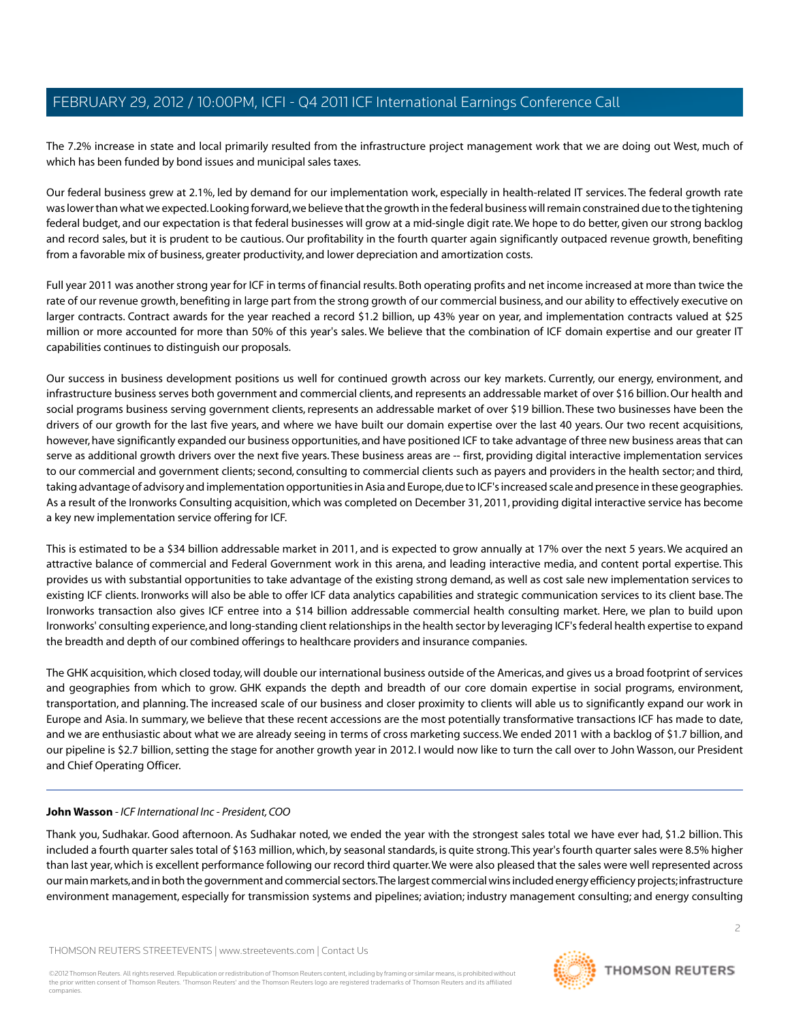The 7.2% increase in state and local primarily resulted from the infrastructure project management work that we are doing out West, much of which has been funded by bond issues and municipal sales taxes.

Our federal business grew at 2.1%, led by demand for our implementation work, especially in health-related IT services. The federal growth rate was lower than what we expected. Looking forward, we believe that the growth in the federal business will remain constrained due to the tightening federal budget, and our expectation is that federal businesses will grow at a mid-single digit rate.We hope to do better, given our strong backlog and record sales, but it is prudent to be cautious. Our profitability in the fourth quarter again significantly outpaced revenue growth, benefiting from a favorable mix of business, greater productivity, and lower depreciation and amortization costs.

Full year 2011 was another strong year for ICF in terms of financial results. Both operating profits and net income increased at more than twice the rate of our revenue growth, benefiting in large part from the strong growth of our commercial business, and our ability to effectively executive on larger contracts. Contract awards for the year reached a record \$1.2 billion, up 43% year on year, and implementation contracts valued at \$25 million or more accounted for more than 50% of this year's sales. We believe that the combination of ICF domain expertise and our greater IT capabilities continues to distinguish our proposals.

Our success in business development positions us well for continued growth across our key markets. Currently, our energy, environment, and infrastructure business serves both government and commercial clients, and represents an addressable market of over \$16 billion. Our health and social programs business serving government clients, represents an addressable market of over \$19 billion. These two businesses have been the drivers of our growth for the last five years, and where we have built our domain expertise over the last 40 years. Our two recent acquisitions, however, have significantly expanded our business opportunities, and have positioned ICF to take advantage of three new business areas that can serve as additional growth drivers over the next five years. These business areas are -- first, providing digital interactive implementation services to our commercial and government clients; second, consulting to commercial clients such as payers and providers in the health sector; and third, taking advantage of advisory and implementation opportunities in Asia and Europe, due to ICF's increased scale and presence in these geographies. As a result of the Ironworks Consulting acquisition, which was completed on December 31, 2011, providing digital interactive service has become a key new implementation service offering for ICF.

This is estimated to be a \$34 billion addressable market in 2011, and is expected to grow annually at 17% over the next 5 years. We acquired an attractive balance of commercial and Federal Government work in this arena, and leading interactive media, and content portal expertise. This provides us with substantial opportunities to take advantage of the existing strong demand, as well as cost sale new implementation services to existing ICF clients. Ironworks will also be able to offer ICF data analytics capabilities and strategic communication services to its client base. The Ironworks transaction also gives ICF entree into a \$14 billion addressable commercial health consulting market. Here, we plan to build upon Ironworks' consulting experience, and long-standing client relationships in the health sector by leveraging ICF's federal health expertise to expand the breadth and depth of our combined offerings to healthcare providers and insurance companies.

<span id="page-2-0"></span>The GHK acquisition, which closed today, will double our international business outside of the Americas, and gives us a broad footprint of services and geographies from which to grow. GHK expands the depth and breadth of our core domain expertise in social programs, environment, transportation, and planning. The increased scale of our business and closer proximity to clients will able us to significantly expand our work in Europe and Asia. In summary, we believe that these recent accessions are the most potentially transformative transactions ICF has made to date, and we are enthusiastic about what we are already seeing in terms of cross marketing success.We ended 2011 with a backlog of \$1.7 billion, and our pipeline is \$2.7 billion, setting the stage for another growth year in 2012. I would now like to turn the call over to John Wasson, our President and Chief Operating Officer.

#### **John Wasson** *- ICF International Inc - President, COO*

Thank you, Sudhakar. Good afternoon. As Sudhakar noted, we ended the year with the strongest sales total we have ever had, \$1.2 billion. This included a fourth quarter sales total of \$163 million, which, by seasonal standards, is quite strong.This year's fourth quarter sales were 8.5% higher than last year, which is excellent performance following our record third quarter.We were also pleased that the sales were well represented across our main markets, and in both the government and commercial sectors.The largest commercial wins included energy efficiency projects; infrastructure environment management, especially for transmission systems and pipelines; aviation; industry management consulting; and energy consulting

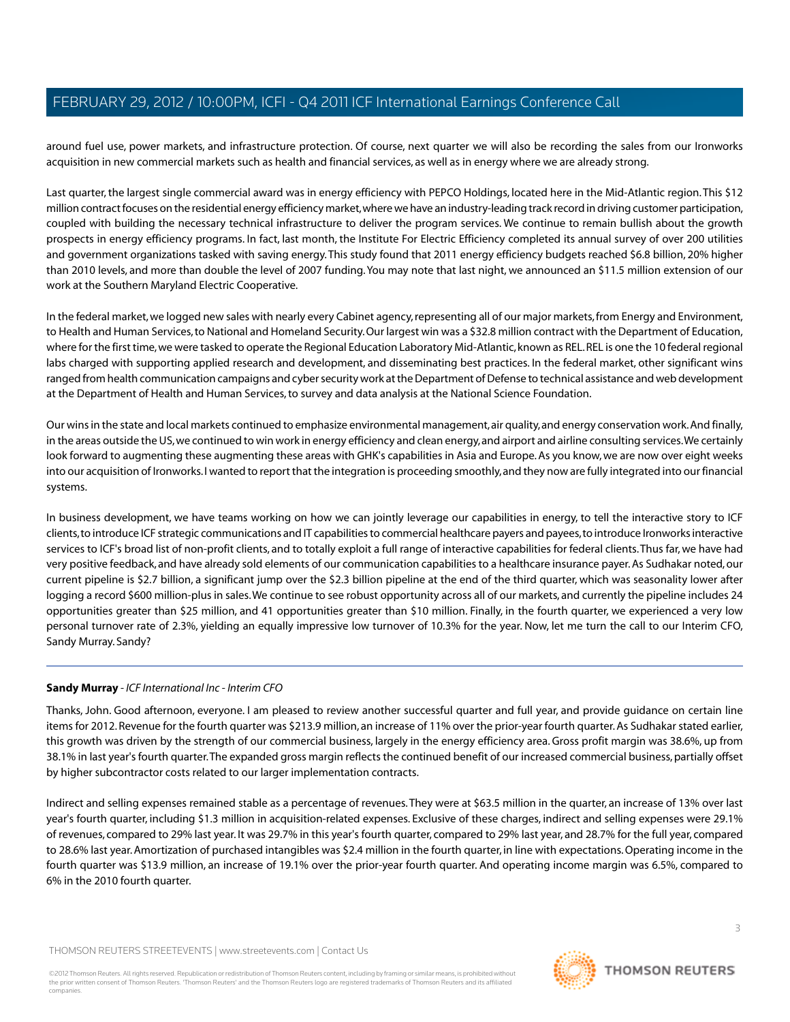around fuel use, power markets, and infrastructure protection. Of course, next quarter we will also be recording the sales from our Ironworks acquisition in new commercial markets such as health and financial services, as well as in energy where we are already strong.

Last quarter, the largest single commercial award was in energy efficiency with PEPCO Holdings, located here in the Mid-Atlantic region.This \$12 million contract focuses on the residential energy efficiency market, where we have an industry-leading track record in driving customer participation, coupled with building the necessary technical infrastructure to deliver the program services. We continue to remain bullish about the growth prospects in energy efficiency programs. In fact, last month, the Institute For Electric Efficiency completed its annual survey of over 200 utilities and government organizations tasked with saving energy.This study found that 2011 energy efficiency budgets reached \$6.8 billion, 20% higher than 2010 levels, and more than double the level of 2007 funding.You may note that last night, we announced an \$11.5 million extension of our work at the Southern Maryland Electric Cooperative.

In the federal market, we logged new sales with nearly every Cabinet agency, representing all of our major markets, from Energy and Environment, to Health and Human Services, to National and Homeland Security. Our largest win was a \$32.8 million contract with the Department of Education, where for the first time, we were tasked to operate the Regional Education Laboratory Mid-Atlantic, known as REL. REL is one the 10 federal regional labs charged with supporting applied research and development, and disseminating best practices. In the federal market, other significant wins ranged from health communication campaigns and cyber security work at the Department of Defense to technical assistance and web development at the Department of Health and Human Services, to survey and data analysis at the National Science Foundation.

Our wins in the state and local markets continued to emphasize environmental management, air quality, and energy conservation work. And finally, in the areas outside the US, we continued to win work in energy efficiency and clean energy, and airport and airline consulting services.We certainly look forward to augmenting these augmenting these areas with GHK's capabilities in Asia and Europe. As you know, we are now over eight weeks into our acquisition of Ironworks. I wanted to report that the integration is proceeding smoothly, and they now are fully integrated into our financial systems.

In business development, we have teams working on how we can jointly leverage our capabilities in energy, to tell the interactive story to ICF clients, to introduce ICF strategic communications and IT capabilities to commercial healthcare payers and payees, to introduce Ironworks interactive services to ICF's broad list of non-profit clients, and to totally exploit a full range of interactive capabilities for federal clients.Thus far, we have had very positive feedback, and have already sold elements of our communication capabilities to a healthcare insurance payer. As Sudhakar noted, our current pipeline is \$2.7 billion, a significant jump over the \$2.3 billion pipeline at the end of the third quarter, which was seasonality lower after logging a record \$600 million-plus in sales.We continue to see robust opportunity across all of our markets, and currently the pipeline includes 24 opportunities greater than \$25 million, and 41 opportunities greater than \$10 million. Finally, in the fourth quarter, we experienced a very low personal turnover rate of 2.3%, yielding an equally impressive low turnover of 10.3% for the year. Now, let me turn the call to our Interim CFO, Sandy Murray. Sandy?

## <span id="page-3-0"></span>**Sandy Murray** *- ICF International Inc - Interim CFO*

Thanks, John. Good afternoon, everyone. I am pleased to review another successful quarter and full year, and provide guidance on certain line items for 2012. Revenue for the fourth quarter was \$213.9 million, an increase of 11% over the prior-year fourth quarter. As Sudhakar stated earlier, this growth was driven by the strength of our commercial business, largely in the energy efficiency area. Gross profit margin was 38.6%, up from 38.1% in last year's fourth quarter.The expanded gross margin reflects the continued benefit of our increased commercial business, partially offset by higher subcontractor costs related to our larger implementation contracts.

Indirect and selling expenses remained stable as a percentage of revenues.They were at \$63.5 million in the quarter, an increase of 13% over last year's fourth quarter, including \$1.3 million in acquisition-related expenses. Exclusive of these charges, indirect and selling expenses were 29.1% of revenues, compared to 29% last year. It was 29.7% in this year's fourth quarter, compared to 29% last year, and 28.7% for the full year, compared to 28.6% last year. Amortization of purchased intangibles was \$2.4 million in the fourth quarter, in line with expectations. Operating income in the fourth quarter was \$13.9 million, an increase of 19.1% over the prior-year fourth quarter. And operating income margin was 6.5%, compared to 6% in the 2010 fourth quarter.

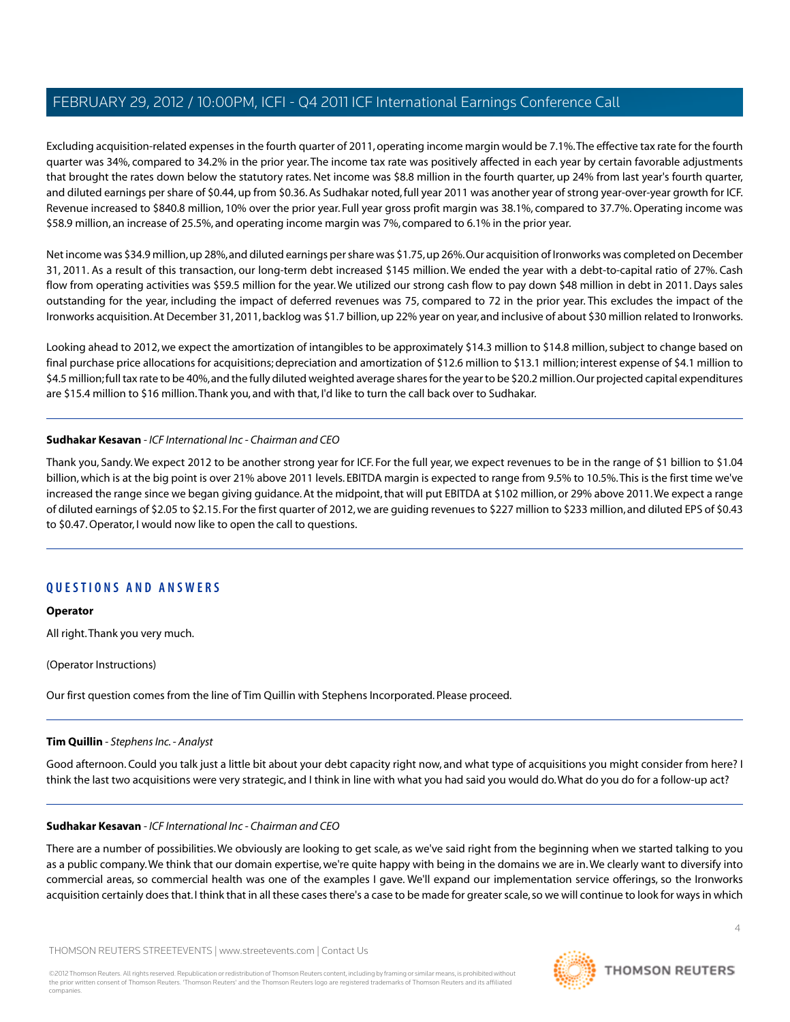Excluding acquisition-related expenses in the fourth quarter of 2011, operating income margin would be 7.1%.The effective tax rate for the fourth quarter was 34%, compared to 34.2% in the prior year. The income tax rate was positively affected in each year by certain favorable adjustments that brought the rates down below the statutory rates. Net income was \$8.8 million in the fourth quarter, up 24% from last year's fourth quarter, and diluted earnings per share of \$0.44, up from \$0.36. As Sudhakar noted, full year 2011 was another year of strong year-over-year growth for ICF. Revenue increased to \$840.8 million, 10% over the prior year. Full year gross profit margin was 38.1%, compared to 37.7%. Operating income was \$58.9 million, an increase of 25.5%, and operating income margin was 7%, compared to 6.1% in the prior year.

Net income was \$34.9 million, up 28%, and diluted earnings per share was \$1.75, up 26%. Our acquisition of Ironworks was completed on December 31, 2011. As a result of this transaction, our long-term debt increased \$145 million. We ended the year with a debt-to-capital ratio of 27%. Cash flow from operating activities was \$59.5 million for the year.We utilized our strong cash flow to pay down \$48 million in debt in 2011. Days sales outstanding for the year, including the impact of deferred revenues was 75, compared to 72 in the prior year. This excludes the impact of the Ironworks acquisition. At December 31, 2011, backlog was \$1.7 billion, up 22% year on year, and inclusive of about \$30 million related to Ironworks.

Looking ahead to 2012, we expect the amortization of intangibles to be approximately \$14.3 million to \$14.8 million, subject to change based on final purchase price allocations for acquisitions; depreciation and amortization of \$12.6 million to \$13.1 million; interest expense of \$4.1 million to \$4.5 million; full tax rate to be 40%, and the fully diluted weighted average shares for the year to be \$20.2 million. Our projected capital expenditures are \$15.4 million to \$16 million.Thank you, and with that, I'd like to turn the call back over to Sudhakar.

## **Sudhakar Kesavan** *- ICF International Inc - Chairman and CEO*

Thank you, Sandy.We expect 2012 to be another strong year for ICF. For the full year, we expect revenues to be in the range of \$1 billion to \$1.04 billion, which is at the big point is over 21% above 2011 levels. EBITDA margin is expected to range from 9.5% to 10.5%.This is the first time we've increased the range since we began giving guidance. At the midpoint, that will put EBITDA at \$102 million, or 29% above 2011.We expect a range of diluted earnings of \$2.05 to \$2.15. For the first quarter of 2012, we are guiding revenues to \$227 million to \$233 million, and diluted EPS of \$0.43 to \$0.47. Operator, I would now like to open the call to questions.

## **QUESTIONS AND ANSWERS**

## **Operator**

All right.Thank you very much.

<span id="page-4-0"></span>(Operator Instructions)

Our first question comes from the line of Tim Quillin with Stephens Incorporated. Please proceed.

## **Tim Quillin** *- Stephens Inc. - Analyst*

Good afternoon. Could you talk just a little bit about your debt capacity right now, and what type of acquisitions you might consider from here? I think the last two acquisitions were very strategic, and I think in line with what you had said you would do.What do you do for a follow-up act?

## **Sudhakar Kesavan** *- ICF International Inc - Chairman and CEO*

There are a number of possibilities.We obviously are looking to get scale, as we've said right from the beginning when we started talking to you as a public company.We think that our domain expertise, we're quite happy with being in the domains we are in.We clearly want to diversify into commercial areas, so commercial health was one of the examples I gave. We'll expand our implementation service offerings, so the Ironworks acquisition certainly does that. I think that in all these cases there's a case to be made for greater scale, so we will continue to look for ways in which

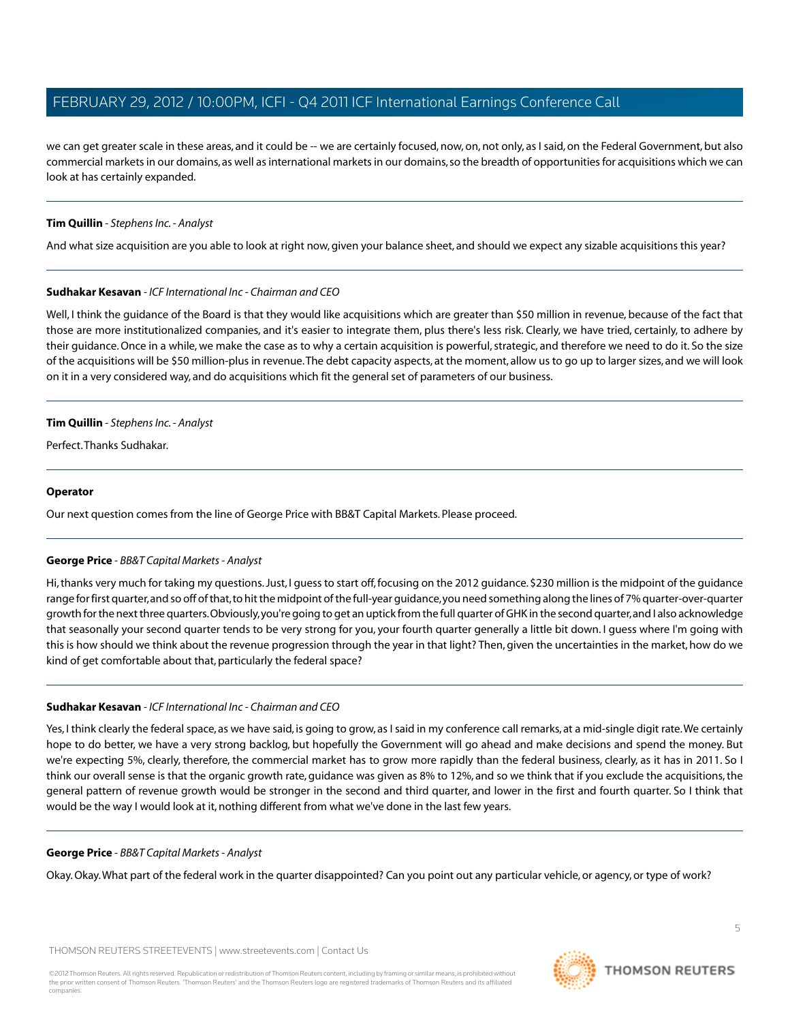we can get greater scale in these areas, and it could be -- we are certainly focused, now, on, not only, as I said, on the Federal Government, but also commercial markets in our domains, as well as international markets in our domains, so the breadth of opportunities for acquisitions which we can look at has certainly expanded.

## **Tim Quillin** *- Stephens Inc. - Analyst*

And what size acquisition are you able to look at right now, given your balance sheet, and should we expect any sizable acquisitions this year?

## **Sudhakar Kesavan** *- ICF International Inc - Chairman and CEO*

Well, I think the quidance of the Board is that they would like acquisitions which are greater than \$50 million in revenue, because of the fact that those are more institutionalized companies, and it's easier to integrate them, plus there's less risk. Clearly, we have tried, certainly, to adhere by their guidance. Once in a while, we make the case as to why a certain acquisition is powerful, strategic, and therefore we need to do it. So the size of the acquisitions will be \$50 million-plus in revenue.The debt capacity aspects, at the moment, allow us to go up to larger sizes, and we will look on it in a very considered way, and do acquisitions which fit the general set of parameters of our business.

## **Tim Quillin** *- Stephens Inc. - Analyst*

Perfect.Thanks Sudhakar.

#### **Operator**

<span id="page-5-0"></span>Our next question comes from the line of George Price with BB&T Capital Markets. Please proceed.

## **George Price** *- BB&T Capital Markets - Analyst*

Hi, thanks very much for taking my questions. Just, I guess to start off, focusing on the 2012 guidance. \$230 million is the midpoint of the guidance range for first quarter, and so off of that, to hit the midpoint of the full-year guidance, you need something along the lines of 7% quarter-over-quarter growth for the next three quarters. Obviously, you're going to get an uptick from the full quarter of GHK in the second quarter, and I also acknowledge that seasonally your second quarter tends to be very strong for you, your fourth quarter generally a little bit down. I guess where I'm going with this is how should we think about the revenue progression through the year in that light? Then, given the uncertainties in the market, how do we kind of get comfortable about that, particularly the federal space?

## **Sudhakar Kesavan** *- ICF International Inc - Chairman and CEO*

Yes, I think clearly the federal space, as we have said, is going to grow, as I said in my conference call remarks, at a mid-single digit rate. We certainly hope to do better, we have a very strong backlog, but hopefully the Government will go ahead and make decisions and spend the money. But we're expecting 5%, clearly, therefore, the commercial market has to grow more rapidly than the federal business, clearly, as it has in 2011. So I think our overall sense is that the organic growth rate, guidance was given as 8% to 12%, and so we think that if you exclude the acquisitions, the general pattern of revenue growth would be stronger in the second and third quarter, and lower in the first and fourth quarter. So I think that would be the way I would look at it, nothing different from what we've done in the last few years.

#### **George Price** *- BB&T Capital Markets - Analyst*

Okay. Okay.What part of the federal work in the quarter disappointed? Can you point out any particular vehicle, or agency, or type of work?

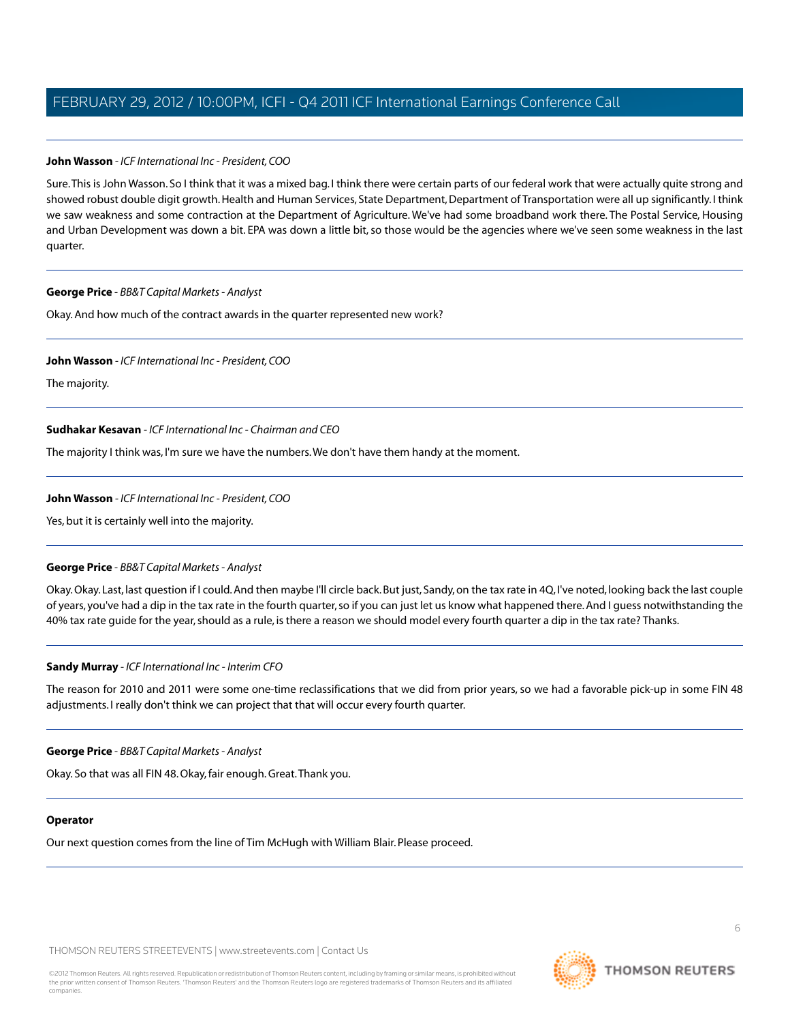## **John Wasson** *- ICF International Inc - President, COO*

Sure.This is John Wasson. So I think that it was a mixed bag. I think there were certain parts of our federal work that were actually quite strong and showed robust double digit growth. Health and Human Services, State Department, Department of Transportation were all up significantly. I think we saw weakness and some contraction at the Department of Agriculture. We've had some broadband work there. The Postal Service, Housing and Urban Development was down a bit. EPA was down a little bit, so those would be the agencies where we've seen some weakness in the last quarter.

## **George Price** *- BB&T Capital Markets - Analyst*

Okay. And how much of the contract awards in the quarter represented new work?

#### **John Wasson** *- ICF International Inc - President, COO*

The majority.

## **Sudhakar Kesavan** *- ICF International Inc - Chairman and CEO*

The majority I think was, I'm sure we have the numbers.We don't have them handy at the moment.

#### **John Wasson** *- ICF International Inc - President, COO*

Yes, but it is certainly well into the majority.

## **George Price** *- BB&T Capital Markets - Analyst*

Okay. Okay. Last, last question if I could. And then maybe I'll circle back. But just, Sandy, on the tax rate in 4Q, I've noted, looking back the last couple of years, you've had a dip in the tax rate in the fourth quarter, so if you can just let us know what happened there. And I guess notwithstanding the 40% tax rate guide for the year, should as a rule, is there a reason we should model every fourth quarter a dip in the tax rate? Thanks.

#### **Sandy Murray** *- ICF International Inc - Interim CFO*

The reason for 2010 and 2011 were some one-time reclassifications that we did from prior years, so we had a favorable pick-up in some FIN 48 adjustments. I really don't think we can project that that will occur every fourth quarter.

#### **George Price** *- BB&T Capital Markets - Analyst*

Okay. So that was all FIN 48. Okay, fair enough. Great.Thank you.

#### **Operator**

Our next question comes from the line of Tim McHugh with William Blair. Please proceed.



6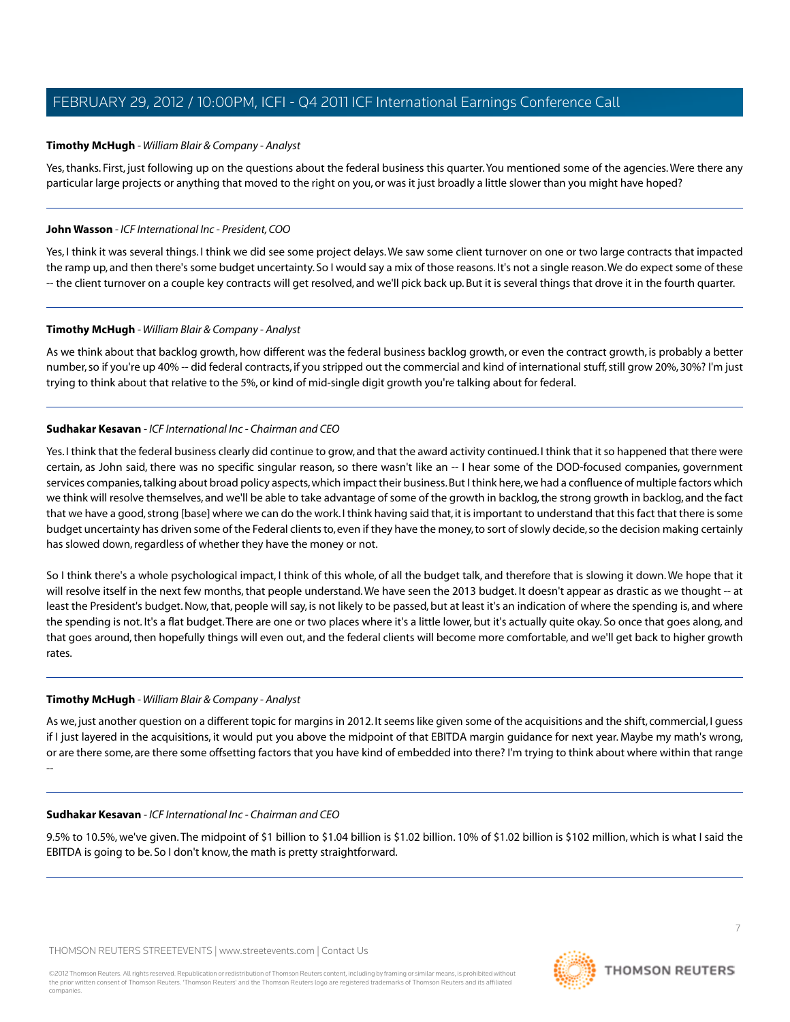## <span id="page-7-0"></span>**Timothy McHugh** *- William Blair & Company - Analyst*

Yes, thanks. First, just following up on the questions about the federal business this quarter.You mentioned some of the agencies.Were there any particular large projects or anything that moved to the right on you, or was it just broadly a little slower than you might have hoped?

## **John Wasson** *- ICF International Inc - President, COO*

Yes, I think it was several things. I think we did see some project delays.We saw some client turnover on one or two large contracts that impacted the ramp up, and then there's some budget uncertainty. So I would say a mix of those reasons. It's not a single reason.We do expect some of these -- the client turnover on a couple key contracts will get resolved, and we'll pick back up. But it is several things that drove it in the fourth quarter.

## **Timothy McHugh** *- William Blair & Company - Analyst*

As we think about that backlog growth, how different was the federal business backlog growth, or even the contract growth, is probably a better number, so if you're up 40% -- did federal contracts, if you stripped out the commercial and kind of international stuff, still grow 20%, 30%? I'm just trying to think about that relative to the 5%, or kind of mid-single digit growth you're talking about for federal.

## **Sudhakar Kesavan** *- ICF International Inc - Chairman and CEO*

Yes. I think that the federal business clearly did continue to grow, and that the award activity continued. I think that it so happened that there were certain, as John said, there was no specific singular reason, so there wasn't like an -- I hear some of the DOD-focused companies, government services companies, talking about broad policy aspects, which impact their business. But I think here, we had a confluence of multiple factors which we think will resolve themselves, and we'll be able to take advantage of some of the growth in backlog, the strong growth in backlog, and the fact that we have a good, strong [base] where we can do the work. I think having said that, it is important to understand that this fact that there is some budget uncertainty has driven some of the Federal clients to, even if they have the money, to sort of slowly decide, so the decision making certainly has slowed down, regardless of whether they have the money or not.

So I think there's a whole psychological impact, I think of this whole, of all the budget talk, and therefore that is slowing it down. We hope that it will resolve itself in the next few months, that people understand.We have seen the 2013 budget. It doesn't appear as drastic as we thought -- at least the President's budget. Now, that, people will say, is not likely to be passed, but at least it's an indication of where the spending is, and where the spending is not. It's a flat budget.There are one or two places where it's a little lower, but it's actually quite okay. So once that goes along, and that goes around, then hopefully things will even out, and the federal clients will become more comfortable, and we'll get back to higher growth rates.

#### **Timothy McHugh** *- William Blair & Company - Analyst*

As we, just another question on a different topic for margins in 2012. It seems like given some of the acquisitions and the shift, commercial, I guess if I just layered in the acquisitions, it would put you above the midpoint of that EBITDA margin guidance for next year. Maybe my math's wrong, or are there some, are there some offsetting factors that you have kind of embedded into there? I'm trying to think about where within that range --

#### **Sudhakar Kesavan** *- ICF International Inc - Chairman and CEO*

9.5% to 10.5%, we've given.The midpoint of \$1 billion to \$1.04 billion is \$1.02 billion. 10% of \$1.02 billion is \$102 million, which is what I said the EBITDA is going to be. So I don't know, the math is pretty straightforward.



7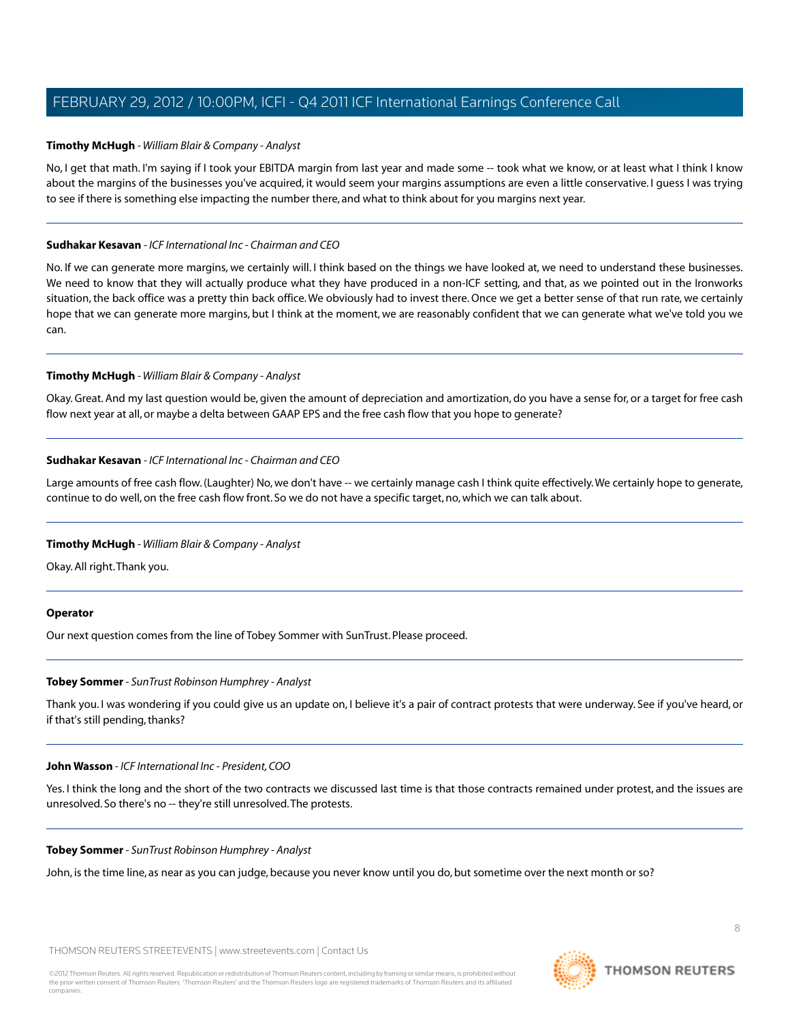## **Timothy McHugh** *- William Blair & Company - Analyst*

No, I get that math. I'm saying if I took your EBITDA margin from last year and made some -- took what we know, or at least what I think I know about the margins of the businesses you've acquired, it would seem your margins assumptions are even a little conservative. I guess I was trying to see if there is something else impacting the number there, and what to think about for you margins next year.

#### **Sudhakar Kesavan** *- ICF International Inc - Chairman and CEO*

No. If we can generate more margins, we certainly will. I think based on the things we have looked at, we need to understand these businesses. We need to know that they will actually produce what they have produced in a non-ICF setting, and that, as we pointed out in the Ironworks situation, the back office was a pretty thin back office.We obviously had to invest there. Once we get a better sense of that run rate, we certainly hope that we can generate more margins, but I think at the moment, we are reasonably confident that we can generate what we've told you we can.

## **Timothy McHugh** *- William Blair & Company - Analyst*

Okay. Great. And my last question would be, given the amount of depreciation and amortization, do you have a sense for, or a target for free cash flow next year at all, or maybe a delta between GAAP EPS and the free cash flow that you hope to generate?

## **Sudhakar Kesavan** *- ICF International Inc - Chairman and CEO*

Large amounts of free cash flow. (Laughter) No, we don't have -- we certainly manage cash I think quite effectively.We certainly hope to generate, continue to do well, on the free cash flow front. So we do not have a specific target, no, which we can talk about.

## **Timothy McHugh** *- William Blair & Company - Analyst*

Okay. All right.Thank you.

#### <span id="page-8-0"></span>**Operator**

Our next question comes from the line of Tobey Sommer with SunTrust. Please proceed.

#### **Tobey Sommer** *- SunTrust Robinson Humphrey - Analyst*

Thank you. I was wondering if you could give us an update on, I believe it's a pair of contract protests that were underway. See if you've heard, or if that's still pending, thanks?

#### **John Wasson** *- ICF International Inc - President, COO*

Yes. I think the long and the short of the two contracts we discussed last time is that those contracts remained under protest, and the issues are unresolved. So there's no -- they're still unresolved.The protests.

#### **Tobey Sommer** *- SunTrust Robinson Humphrey - Analyst*

John, is the time line, as near as you can judge, because you never know until you do, but sometime over the next month or so?

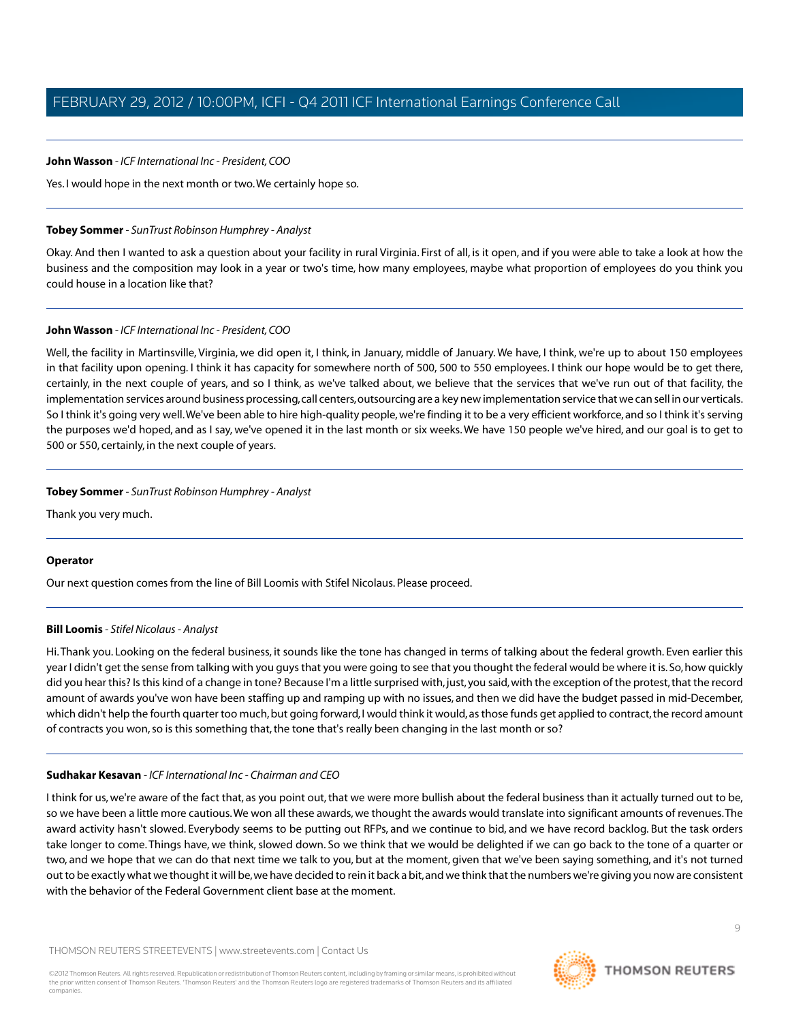#### **John Wasson** *- ICF International Inc - President, COO*

Yes. I would hope in the next month or two.We certainly hope so.

#### **Tobey Sommer** *- SunTrust Robinson Humphrey - Analyst*

Okay. And then I wanted to ask a question about your facility in rural Virginia. First of all, is it open, and if you were able to take a look at how the business and the composition may look in a year or two's time, how many employees, maybe what proportion of employees do you think you could house in a location like that?

## **John Wasson** *- ICF International Inc - President, COO*

Well, the facility in Martinsville, Virginia, we did open it, I think, in January, middle of January. We have, I think, we're up to about 150 employees in that facility upon opening. I think it has capacity for somewhere north of 500, 500 to 550 employees. I think our hope would be to get there, certainly, in the next couple of years, and so I think, as we've talked about, we believe that the services that we've run out of that facility, the implementation services around business processing, call centers, outsourcing are a key new implementation service that we can sell in our verticals. So I think it's going very well.We've been able to hire high-quality people, we're finding it to be a very efficient workforce, and so I think it's serving the purposes we'd hoped, and as I say, we've opened it in the last month or six weeks.We have 150 people we've hired, and our goal is to get to 500 or 550, certainly, in the next couple of years.

## **Tobey Sommer** *- SunTrust Robinson Humphrey - Analyst*

Thank you very much.

## <span id="page-9-0"></span>**Operator**

Our next question comes from the line of Bill Loomis with Stifel Nicolaus. Please proceed.

## **Bill Loomis** *- Stifel Nicolaus - Analyst*

Hi.Thank you. Looking on the federal business, it sounds like the tone has changed in terms of talking about the federal growth. Even earlier this year I didn't get the sense from talking with you guys that you were going to see that you thought the federal would be where it is. So, how quickly did you hear this? Is this kind of a change in tone? Because I'm a little surprised with, just, you said, with the exception of the protest, that the record amount of awards you've won have been staffing up and ramping up with no issues, and then we did have the budget passed in mid-December, which didn't help the fourth quarter too much, but going forward, I would think it would, as those funds get applied to contract, the record amount of contracts you won, so is this something that, the tone that's really been changing in the last month or so?

#### **Sudhakar Kesavan** *- ICF International Inc - Chairman and CEO*

I think for us, we're aware of the fact that, as you point out, that we were more bullish about the federal business than it actually turned out to be, so we have been a little more cautious.We won all these awards, we thought the awards would translate into significant amounts of revenues.The award activity hasn't slowed. Everybody seems to be putting out RFPs, and we continue to bid, and we have record backlog. But the task orders take longer to come. Things have, we think, slowed down. So we think that we would be delighted if we can go back to the tone of a quarter or two, and we hope that we can do that next time we talk to you, but at the moment, given that we've been saying something, and it's not turned out to be exactly what we thought it will be, we have decided to rein it back a bit, and we think that the numbers we're giving you now are consistent with the behavior of the Federal Government client base at the moment.

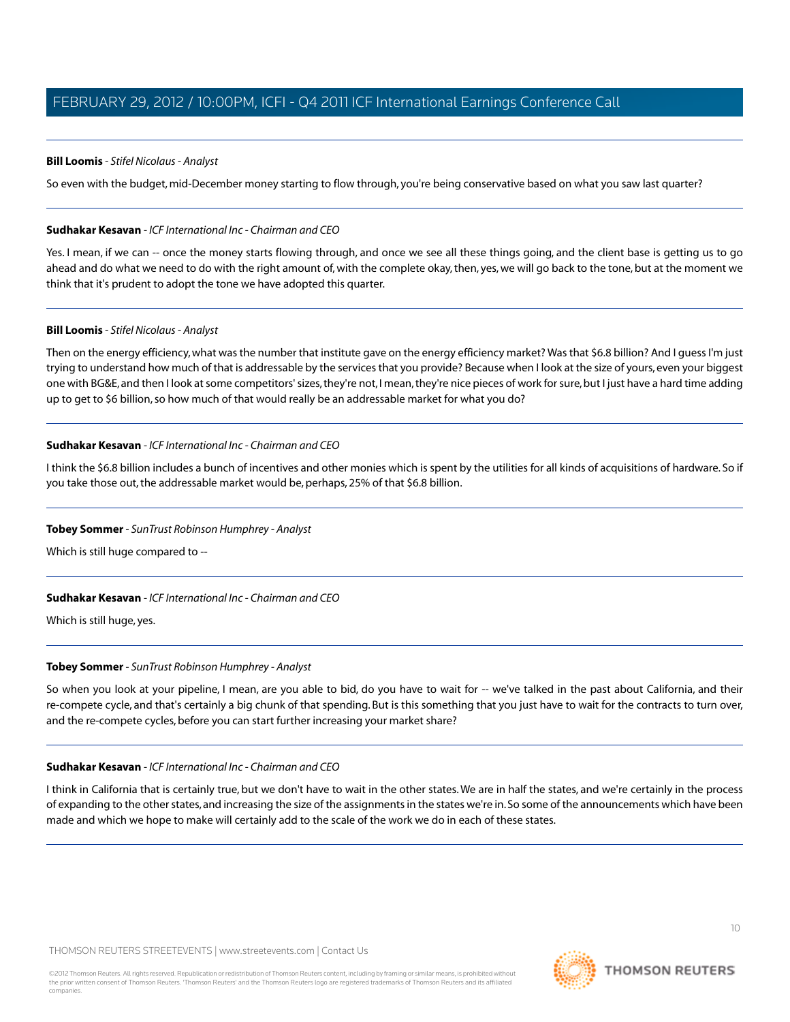## **Bill Loomis** *- Stifel Nicolaus - Analyst*

So even with the budget, mid-December money starting to flow through, you're being conservative based on what you saw last quarter?

## **Sudhakar Kesavan** *- ICF International Inc - Chairman and CEO*

Yes. I mean, if we can -- once the money starts flowing through, and once we see all these things going, and the client base is getting us to go ahead and do what we need to do with the right amount of, with the complete okay, then, yes, we will go back to the tone, but at the moment we think that it's prudent to adopt the tone we have adopted this quarter.

#### **Bill Loomis** *- Stifel Nicolaus - Analyst*

Then on the energy efficiency, what was the number that institute gave on the energy efficiency market? Was that \$6.8 billion? And I guess I'm just trying to understand how much of that is addressable by the services that you provide? Because when I look at the size of yours, even your biggest one with BG&E, and then I look at some competitors' sizes, they're not, I mean, they're nice pieces of work for sure, but I just have a hard time adding up to get to \$6 billion, so how much of that would really be an addressable market for what you do?

## **Sudhakar Kesavan** *- ICF International Inc - Chairman and CEO*

I think the \$6.8 billion includes a bunch of incentives and other monies which is spent by the utilities for all kinds of acquisitions of hardware. So if you take those out, the addressable market would be, perhaps, 25% of that \$6.8 billion.

## **Tobey Sommer** *- SunTrust Robinson Humphrey - Analyst*

Which is still huge compared to --

## **Sudhakar Kesavan** *- ICF International Inc - Chairman and CEO*

Which is still huge, yes.

#### **Tobey Sommer** *- SunTrust Robinson Humphrey - Analyst*

So when you look at your pipeline, I mean, are you able to bid, do you have to wait for -- we've talked in the past about California, and their re-compete cycle, and that's certainly a big chunk of that spending. But is this something that you just have to wait for the contracts to turn over, and the re-compete cycles, before you can start further increasing your market share?

#### **Sudhakar Kesavan** *- ICF International Inc - Chairman and CEO*

I think in California that is certainly true, but we don't have to wait in the other states. We are in half the states, and we're certainly in the process of expanding to the other states, and increasing the size of the assignments in the states we're in. So some of the announcements which have been made and which we hope to make will certainly add to the scale of the work we do in each of these states.

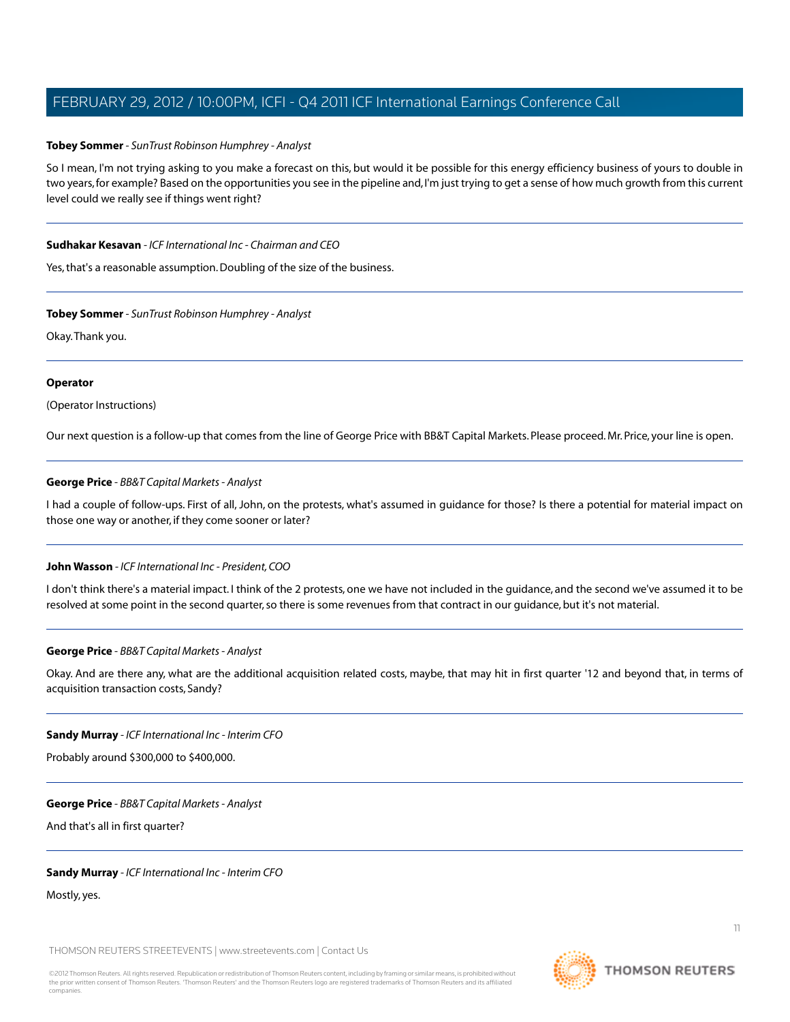## **Tobey Sommer** *- SunTrust Robinson Humphrey - Analyst*

So I mean, I'm not trying asking to you make a forecast on this, but would it be possible for this energy efficiency business of yours to double in two years, for example? Based on the opportunities you see in the pipeline and, I'm just trying to get a sense of how much growth from this current level could we really see if things went right?

#### **Sudhakar Kesavan** *- ICF International Inc - Chairman and CEO*

Yes, that's a reasonable assumption. Doubling of the size of the business.

#### **Tobey Sommer** *- SunTrust Robinson Humphrey - Analyst*

Okay.Thank you.

#### **Operator**

(Operator Instructions)

Our next question is a follow-up that comes from the line of George Price with BB&T Capital Markets. Please proceed. Mr. Price, your line is open.

## **George Price** *- BB&T Capital Markets - Analyst*

I had a couple of follow-ups. First of all, John, on the protests, what's assumed in guidance for those? Is there a potential for material impact on those one way or another, if they come sooner or later?

#### **John Wasson** *- ICF International Inc - President, COO*

I don't think there's a material impact. I think of the 2 protests, one we have not included in the guidance, and the second we've assumed it to be resolved at some point in the second quarter, so there is some revenues from that contract in our guidance, but it's not material.

#### **George Price** *- BB&T Capital Markets - Analyst*

Okay. And are there any, what are the additional acquisition related costs, maybe, that may hit in first quarter '12 and beyond that, in terms of acquisition transaction costs, Sandy?

#### **Sandy Murray** *- ICF International Inc - Interim CFO*

Probably around \$300,000 to \$400,000.

#### **George Price** *- BB&T Capital Markets - Analyst*

And that's all in first quarter?

#### **Sandy Murray** *- ICF International Inc - Interim CFO*

Mostly, yes.

THOMSON REUTERS STREETEVENTS | [www.streetevents.com](http://www.streetevents.com) | [Contact Us](http://www010.streetevents.com/contact.asp)

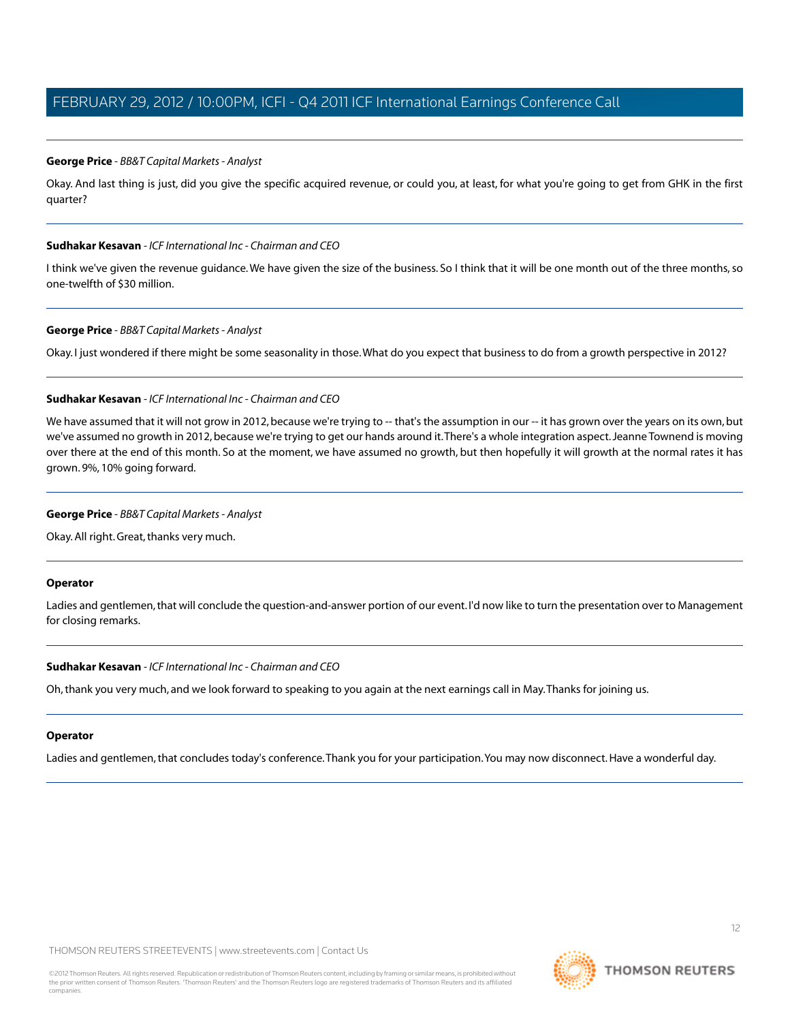## **George Price** *- BB&T Capital Markets - Analyst*

Okay. And last thing is just, did you give the specific acquired revenue, or could you, at least, for what you're going to get from GHK in the first quarter?

#### **Sudhakar Kesavan** *- ICF International Inc - Chairman and CEO*

I think we've given the revenue guidance.We have given the size of the business. So I think that it will be one month out of the three months, so one-twelfth of \$30 million.

## **George Price** *- BB&T Capital Markets - Analyst*

Okay. I just wondered if there might be some seasonality in those.What do you expect that business to do from a growth perspective in 2012?

## **Sudhakar Kesavan** *- ICF International Inc - Chairman and CEO*

We have assumed that it will not grow in 2012, because we're trying to -- that's the assumption in our -- it has grown over the years on its own, but we've assumed no growth in 2012, because we're trying to get our hands around it.There's a whole integration aspect. Jeanne Townend is moving over there at the end of this month. So at the moment, we have assumed no growth, but then hopefully it will growth at the normal rates it has grown. 9%, 10% going forward.

#### **George Price** *- BB&T Capital Markets - Analyst*

Okay. All right. Great, thanks very much.

#### **Operator**

Ladies and gentlemen, that will conclude the question-and-answer portion of our event. I'd now like to turn the presentation over to Management for closing remarks.

#### **Sudhakar Kesavan** *- ICF International Inc - Chairman and CEO*

Oh, thank you very much, and we look forward to speaking to you again at the next earnings call in May.Thanks for joining us.

#### **Operator**

Ladies and gentlemen, that concludes today's conference.Thank you for your participation.You may now disconnect. Have a wonderful day.